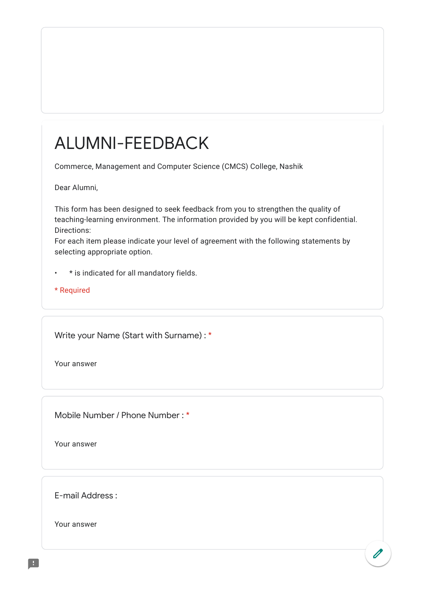## ALUMNI-FEEDBACK

Commerce, Management and Computer Science (CMCS) College, Nashik

Dear Alumni,

This form has been designed to seek feedback from you to strengthen the quality of teaching-learning environment. The information provided by you will be kept confidential. Directions:

For each item please indicate your level of agreement with the following statements by selecting appropriate option.

• \* is indicated for all mandatory fields.

\* Required

Write your Name (Start with Surname) : \*

Your answer

Mobile Number / Phone Number : \*

Your answer

E-mail Address :

Your answer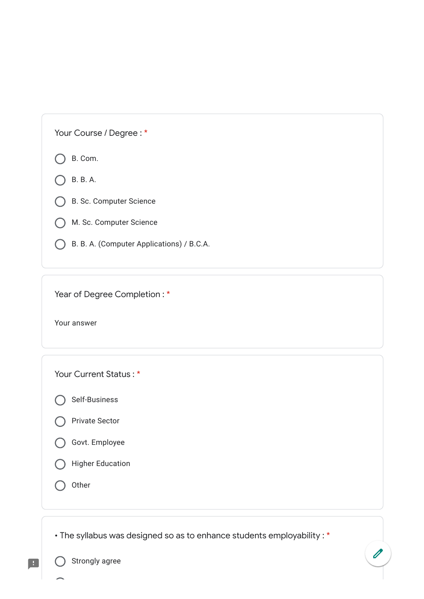B. Com.

B. B. A.

B. Sc. Computer Science

M. Sc. Computer Science

B. B. A. (Computer Applications) / B.C.A.

Year of Degree Completion : \*

Your answer

Your Current Status : \*

Self-Business

|  | Govt. Employee |  |
|--|----------------|--|
|  |                |  |

Higher Education

 $\bigcap$  Other

H

• The syllabus was designed so as to enhance students employability : \*

 $\overline{\mathscr{O}}$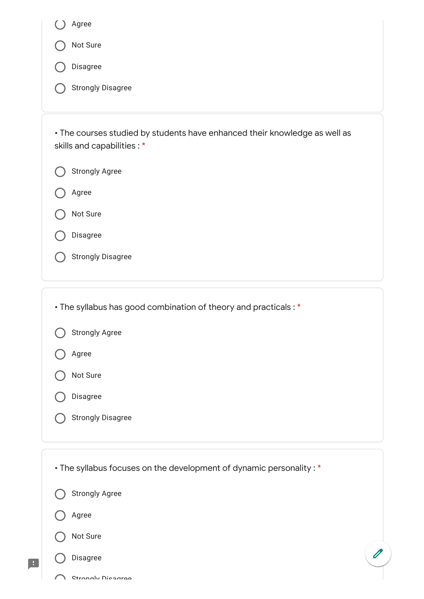| Agree                                                                                                    |
|----------------------------------------------------------------------------------------------------------|
| Not Sure                                                                                                 |
| Disagree                                                                                                 |
| <b>Strongly Disagree</b>                                                                                 |
| • The courses studied by students have enhanced their knowledge as well as<br>skills and capabilities: * |
| <b>Strongly Agree</b>                                                                                    |
| Agree                                                                                                    |
| Not Sure                                                                                                 |
| Disagree                                                                                                 |
| <b>Strongly Disagree</b>                                                                                 |
|                                                                                                          |
| • The syllabus has good combination of theory and practicals: *                                          |
| <b>Strongly Agree</b>                                                                                    |
| Agree                                                                                                    |
| Not Sure                                                                                                 |
| Disagree                                                                                                 |
| <b>Strongly Disagree</b>                                                                                 |
|                                                                                                          |
| • The syllabus focuses on the development of dynamic personality: *                                      |
| <b>Strongly Agree</b>                                                                                    |
| Agree                                                                                                    |
| Not Sure                                                                                                 |
| Disagree                                                                                                 |
|                                                                                                          |

 $\blacksquare$ 

O Strongly Disagree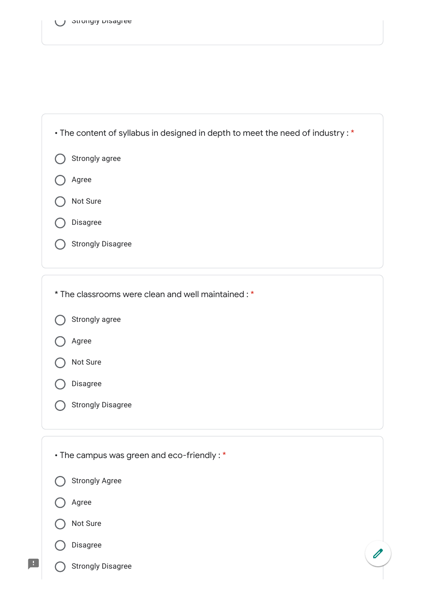

| * The classrooms were clean and well maintained: * |
|----------------------------------------------------|
| Strongly agree                                     |
| Agree                                              |
| Not Sure                                           |
| Disagree                                           |
| <b>Strongly Disagree</b>                           |
|                                                    |
| • The campus was green and eco-friendly: *         |
| <b>Strongly Agree</b>                              |
| Agree                                              |

Not Sure

## Disagree

 $\blacksquare$ 

Strongly Disagree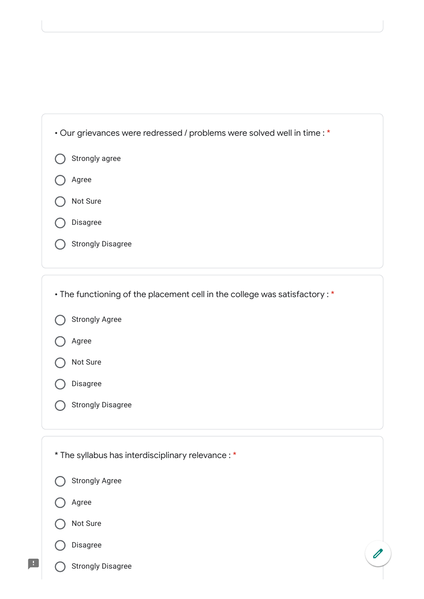| • Our grievances were redressed / problems were solved well in time : * |  |
|-------------------------------------------------------------------------|--|
| Strongly agree                                                          |  |
| Agree                                                                   |  |
| Not Sure                                                                |  |
| Disagree                                                                |  |
| <b>Strongly Disagree</b>                                                |  |
|                                                                         |  |

| • The functioning of the placement cell in the college was satisfactory: * |
|----------------------------------------------------------------------------|
| <b>Strongly Agree</b>                                                      |
| Agree                                                                      |
| Not Sure                                                                   |
| Disagree                                                                   |
| <b>Strongly Disagree</b>                                                   |
|                                                                            |
|                                                                            |
| * The syllabus has interdisciplinary relevance : *                         |
| <b>Strongly Agree</b>                                                      |
| Agree                                                                      |
| Not Sure                                                                   |
| Disagree                                                                   |

 $\blacksquare$ 

 $\overline{\mathscr{O}}$